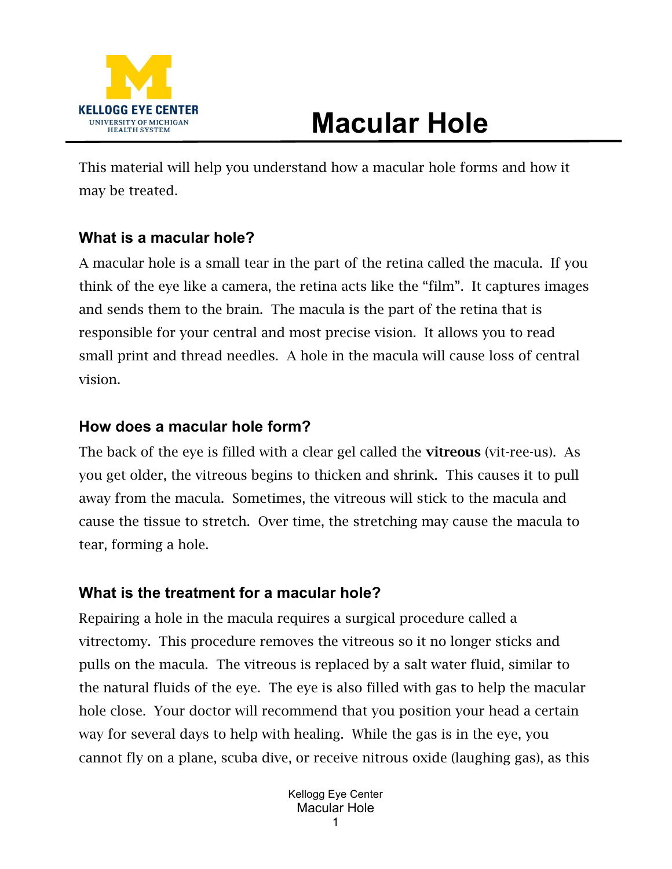

# **Macular Hole**

This material will help you understand how a macular hole forms and how it may be treated.

# **What is a macular hole?**

A macular hole is a small tear in the part of the retina called the macula. If you think of the eye like a camera, the retina acts like the "film". It captures images and sends them to the brain. The macula is the part of the retina that is responsible for your central and most precise vision. It allows you to read small print and thread needles. A hole in the macula will cause loss of central vision.

### **How does a macular hole form?**

The back of the eye is filled with a clear gel called the **vitreous** (vit-ree-us). As you get older, the vitreous begins to thicken and shrink. This causes it to pull away from the macula. Sometimes, the vitreous will stick to the macula and cause the tissue to stretch. Over time, the stretching may cause the macula to tear, forming a hole.

# **What is the treatment for a macular hole?**

Repairing a hole in the macula requires a surgical procedure called a vitrectomy. This procedure removes the vitreous so it no longer sticks and pulls on the macula. The vitreous is replaced by a salt water fluid, similar to the natural fluids of the eye. The eye is also filled with gas to help the macular hole close. Your doctor will recommend that you position your head a certain way for several days to help with healing. While the gas is in the eye, you cannot fly on a plane, scuba dive, or receive nitrous oxide (laughing gas), as this